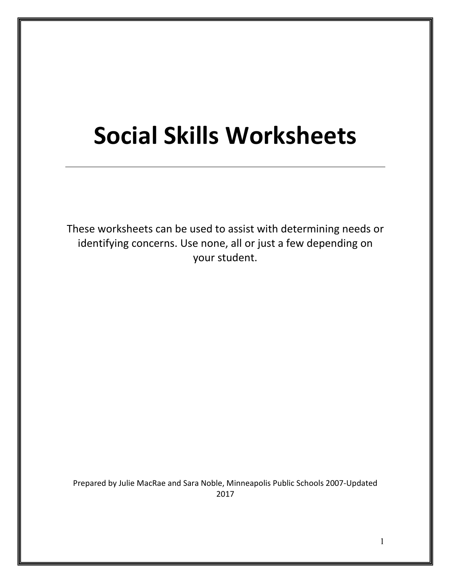# <span id="page-0-0"></span>**Social Skills Worksheets**

These worksheets can be used to assist with determining needs or identifying concerns. Use none, all or just a few depending on your student.

Prepared by Julie MacRae and Sara Noble, Minneapolis Public Schools 2007-Updated 2017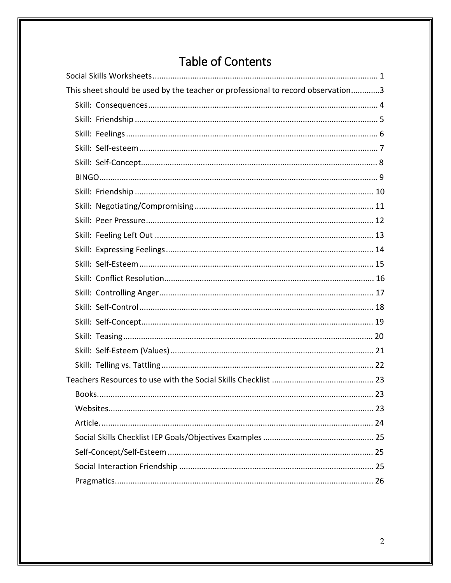## Table of Contents

| This sheet should be used by the teacher or professional to record observation3 |  |
|---------------------------------------------------------------------------------|--|
|                                                                                 |  |
|                                                                                 |  |
|                                                                                 |  |
|                                                                                 |  |
|                                                                                 |  |
|                                                                                 |  |
|                                                                                 |  |
|                                                                                 |  |
|                                                                                 |  |
|                                                                                 |  |
|                                                                                 |  |
|                                                                                 |  |
|                                                                                 |  |
|                                                                                 |  |
|                                                                                 |  |
|                                                                                 |  |
|                                                                                 |  |
|                                                                                 |  |
|                                                                                 |  |
|                                                                                 |  |
|                                                                                 |  |
|                                                                                 |  |
|                                                                                 |  |
|                                                                                 |  |
|                                                                                 |  |
|                                                                                 |  |
|                                                                                 |  |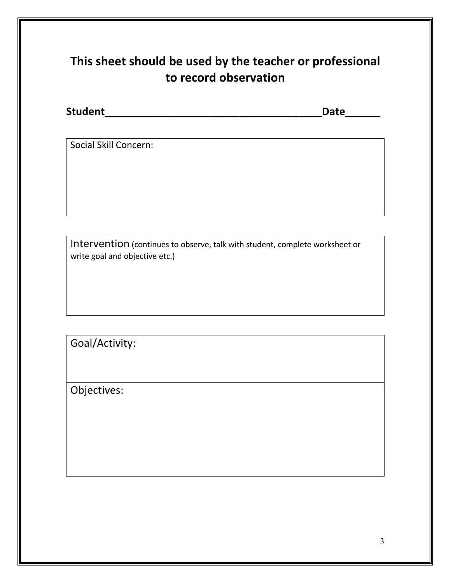## <span id="page-2-0"></span>**This sheet should be used by the teacher or professional to record observation**

| <b>Student</b> | Date |  |
|----------------|------|--|
|                |      |  |

Social Skill Concern:

Intervention (continues to observe, talk with student, complete worksheet or write goal and objective etc.)

Goal/Activity:

Objectives: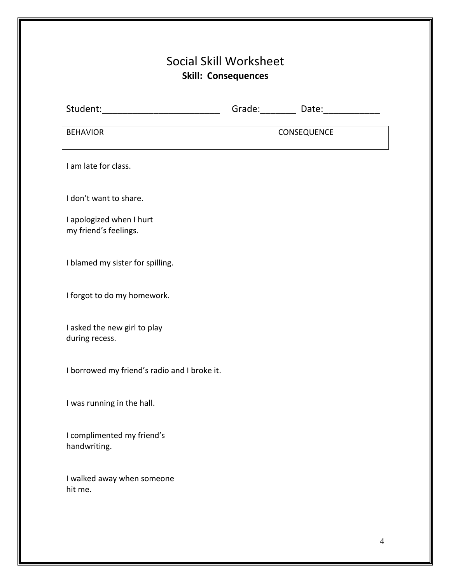## Social Skill Worksheet **Skill: Consequences**

<span id="page-3-0"></span>

| Student:_____________________________             | Grade: ________ Date: ____________ |
|---------------------------------------------------|------------------------------------|
| <b>BEHAVIOR</b>                                   | CONSEQUENCE                        |
| I am late for class.                              |                                    |
| I don't want to share.                            |                                    |
| I apologized when I hurt<br>my friend's feelings. |                                    |
| I blamed my sister for spilling.                  |                                    |
| I forgot to do my homework.                       |                                    |
| I asked the new girl to play<br>during recess.    |                                    |
| I borrowed my friend's radio and I broke it.      |                                    |
| I was running in the hall.                        |                                    |
| I complimented my friend's<br>handwriting.        |                                    |
| I walked away when someone<br>hit me.             |                                    |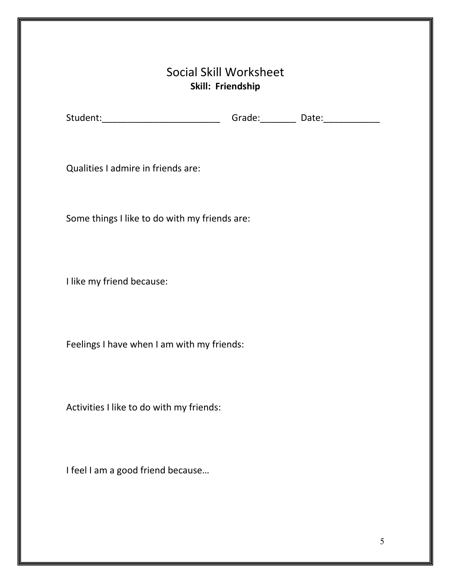### Social Skill Worksheet **Skill: Friendship**

<span id="page-4-0"></span>

| Student: | Grade: | Date: |  |
|----------|--------|-------|--|
|          |        |       |  |

Qualities I admire in friends are:

Some things I like to do with my friends are:

I like my friend because:

Feelings I have when I am with my friends:

Activities I like to do with my friends:

I feel I am a good friend because…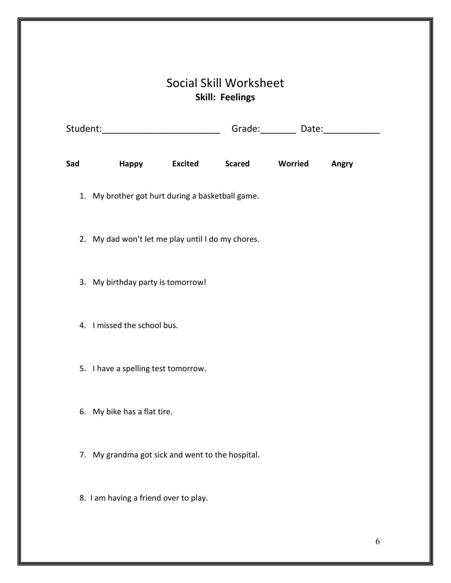## Social Skill Worksheet **Skill: Feelings**

<span id="page-5-0"></span>

|     | Student:___________________________               |                |               |         | Grade: Date: Date: |
|-----|---------------------------------------------------|----------------|---------------|---------|--------------------|
| Sad | Happy                                             | <b>Excited</b> | <b>Scared</b> | Worried | Angry              |
|     | 1. My brother got hurt during a basketball game.  |                |               |         |                    |
|     | 2. My dad won't let me play until I do my chores. |                |               |         |                    |
|     | 3. My birthday party is tomorrow!                 |                |               |         |                    |
|     | 4. I missed the school bus.                       |                |               |         |                    |
|     | 5. I have a spelling test tomorrow.               |                |               |         |                    |
|     | 6. My bike has a flat tire.                       |                |               |         |                    |
| 7.  | My grandma got sick and went to the hospital.     |                |               |         |                    |
|     | 8. I am having a friend over to play.             |                |               |         |                    |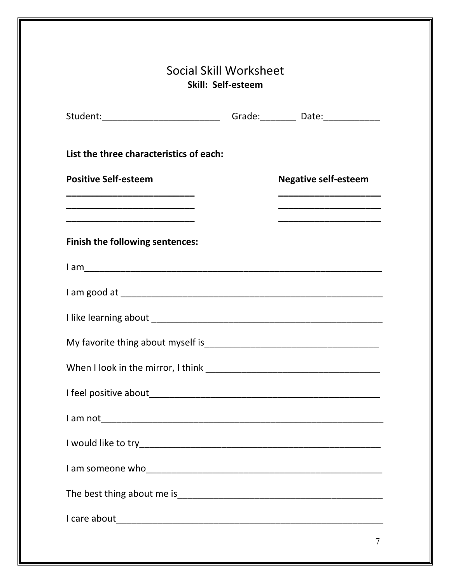<span id="page-6-0"></span>

| Student:__________________________________Grade:____________Date:_______________                                                                                                                                       |                                                               |
|------------------------------------------------------------------------------------------------------------------------------------------------------------------------------------------------------------------------|---------------------------------------------------------------|
| List the three characteristics of each:                                                                                                                                                                                |                                                               |
| <b>Positive Self-esteem</b>                                                                                                                                                                                            | <b>Negative self-esteem</b>                                   |
| <u> 1980 - Johann John Stein, markin fan it ferskearre fan it ferskearre fan it ferskearre fan it ferskearre fan </u><br>and the control of the control of the control of the control of the control of the control of | <u> 1990 - Johann Marie Barn, mars an t-Amerikaansk fersk</u> |
| Finish the following sentences:                                                                                                                                                                                        |                                                               |
|                                                                                                                                                                                                                        |                                                               |
|                                                                                                                                                                                                                        |                                                               |
|                                                                                                                                                                                                                        |                                                               |
|                                                                                                                                                                                                                        |                                                               |
|                                                                                                                                                                                                                        |                                                               |
|                                                                                                                                                                                                                        |                                                               |
|                                                                                                                                                                                                                        |                                                               |
|                                                                                                                                                                                                                        |                                                               |
|                                                                                                                                                                                                                        |                                                               |
|                                                                                                                                                                                                                        |                                                               |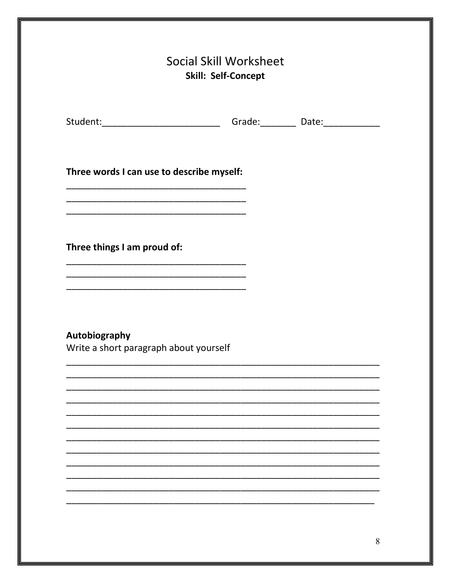<span id="page-7-0"></span>

| Student:_________________________________Grade:____________Date:________________ |  |  |
|----------------------------------------------------------------------------------|--|--|
| Three words I can use to describe myself:                                        |  |  |
|                                                                                  |  |  |
| Three things I am proud of:                                                      |  |  |
|                                                                                  |  |  |
| Autobiography<br>Write a short paragraph about yourself                          |  |  |
|                                                                                  |  |  |
|                                                                                  |  |  |
|                                                                                  |  |  |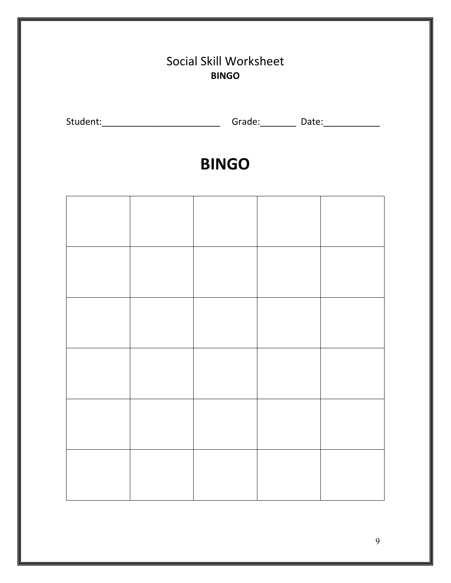# <span id="page-8-0"></span>Social Skill Worksheet **BINGO** Student:\_\_\_\_\_\_\_\_\_\_\_\_\_\_\_\_\_\_\_\_\_\_\_\_\_\_\_\_\_\_\_\_\_\_\_Grade:\_\_\_\_\_\_\_\_\_\_\_\_\_Date:\_\_\_\_\_\_\_\_\_\_\_\_\_

# **BINGO**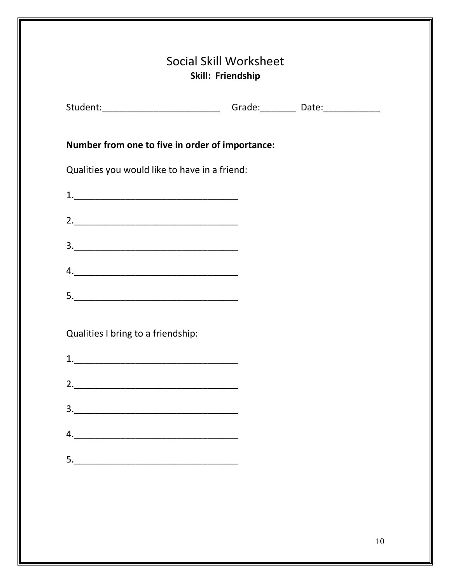<span id="page-9-0"></span>

|                                                                                                                                                    | Student:________________________________Grade:____________Date:_________________ |  |  |  |  |
|----------------------------------------------------------------------------------------------------------------------------------------------------|----------------------------------------------------------------------------------|--|--|--|--|
| Number from one to five in order of importance:                                                                                                    |                                                                                  |  |  |  |  |
| Qualities you would like to have in a friend:                                                                                                      |                                                                                  |  |  |  |  |
|                                                                                                                                                    |                                                                                  |  |  |  |  |
|                                                                                                                                                    |                                                                                  |  |  |  |  |
|                                                                                                                                                    |                                                                                  |  |  |  |  |
|                                                                                                                                                    |                                                                                  |  |  |  |  |
|                                                                                                                                                    |                                                                                  |  |  |  |  |
| Qualities I bring to a friendship:                                                                                                                 |                                                                                  |  |  |  |  |
| 1.                                                                                                                                                 |                                                                                  |  |  |  |  |
|                                                                                                                                                    |                                                                                  |  |  |  |  |
| $\begin{array}{c c c c c c} \hline \rule{0pt}{16pt} \multicolumn{3}{c c }{\textbf{3.}} & \multicolumn{3}{c c }{\textbf{6.}} \\ \hline \end{array}$ |                                                                                  |  |  |  |  |
|                                                                                                                                                    |                                                                                  |  |  |  |  |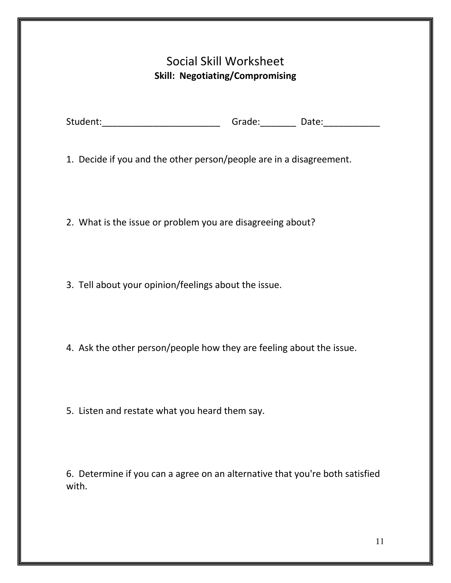#### Social Skill Worksheet **Skill: Negotiating/Compromising**

<span id="page-10-0"></span>

| Student: | Grade: | Date: |  |
|----------|--------|-------|--|
|          |        |       |  |

1. Decide if you and the other person/people are in a disagreement.

2. What is the issue or problem you are disagreeing about?

3. Tell about your opinion/feelings about the issue.

4. Ask the other person/people how they are feeling about the issue.

5. Listen and restate what you heard them say.

6. Determine if you can a agree on an alternative that you're both satisfied with.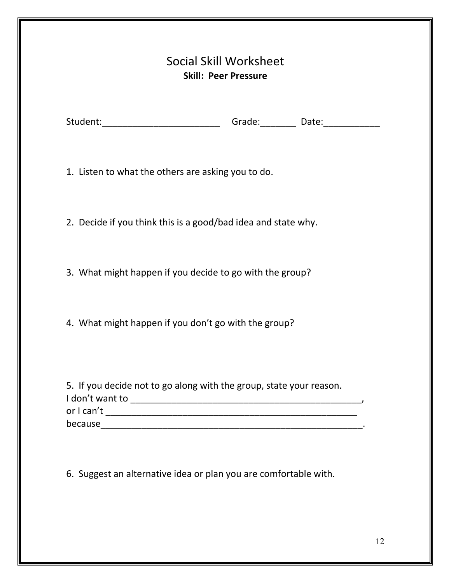| Social Skill Worksheet      |
|-----------------------------|
| <b>Skill: Peer Pressure</b> |

<span id="page-11-0"></span>

| Student: | Grade: | Date: |
|----------|--------|-------|

1. Listen to what the others are asking you to do.

2. Decide if you think this is a good/bad idea and state why.

3. What might happen if you decide to go with the group?

4. What might happen if you don't go with the group?

| 5. If you decide not to go along with the group, state your reason. |  |
|---------------------------------------------------------------------|--|
| I don't want to                                                     |  |
| or I can't                                                          |  |
| because                                                             |  |

6. Suggest an alternative idea or plan you are comfortable with.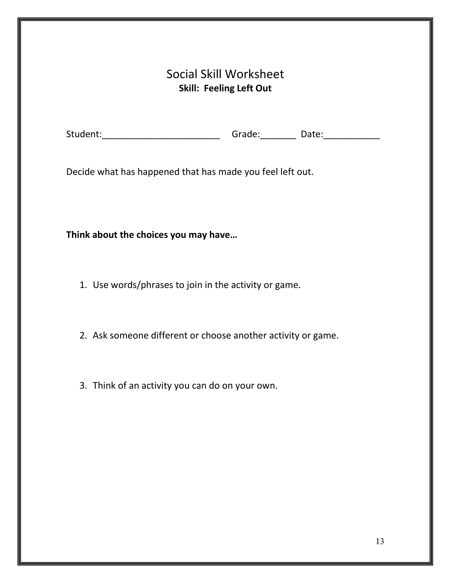#### Social Skill Worksheet **Skill: Feeling Left Out**

<span id="page-12-0"></span>

|  | Student: | Grade: | Date: |  |
|--|----------|--------|-------|--|
|--|----------|--------|-------|--|

Decide what has happened that has made you feel left out.

**Think about the choices you may have…**

- 1. Use words/phrases to join in the activity or game.
- 2. Ask someone different or choose another activity or game.
- 3. Think of an activity you can do on your own.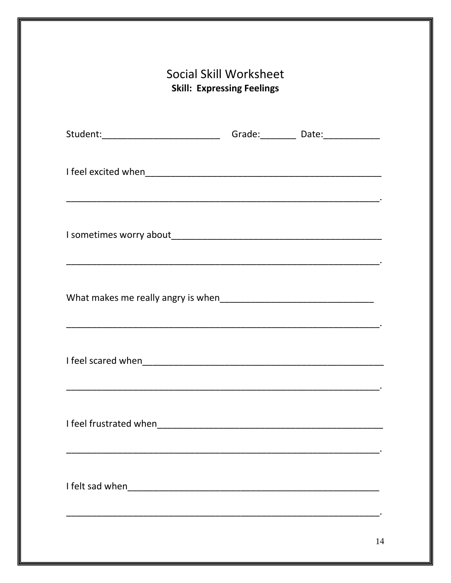<span id="page-13-0"></span>

| I feel scared when |  |  |
|--------------------|--|--|
|                    |  |  |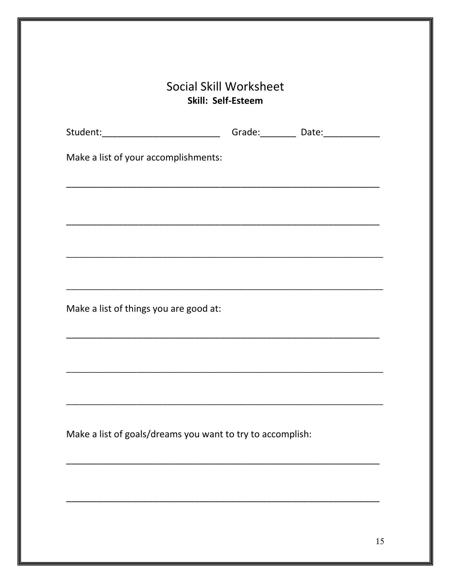<span id="page-14-0"></span>

| Student:________________________________Grade:____________Date:_________________ |  |  |
|----------------------------------------------------------------------------------|--|--|
| Make a list of your accomplishments:                                             |  |  |
|                                                                                  |  |  |
|                                                                                  |  |  |
|                                                                                  |  |  |
|                                                                                  |  |  |
| Make a list of things you are good at:                                           |  |  |
|                                                                                  |  |  |
|                                                                                  |  |  |
|                                                                                  |  |  |
| Make a list of goals/dreams you want to try to accomplish:                       |  |  |
|                                                                                  |  |  |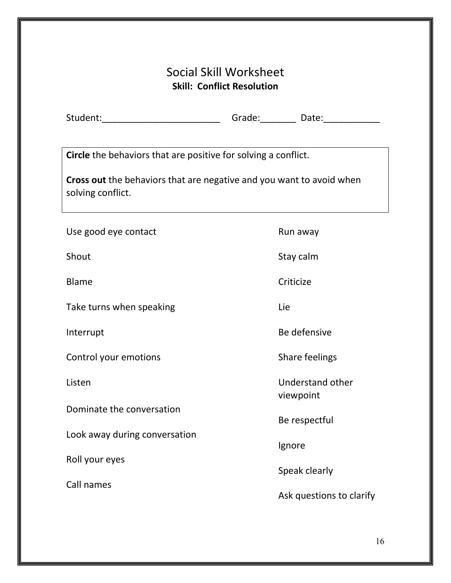### Social Skill Worksheet **Skill: Conflict Resolution**

<span id="page-15-0"></span>

| Student: | Grade: | Date: |  |
|----------|--------|-------|--|
|          |        |       |  |

**Circle** the behaviors that are positive for solving a conflict.

**Cross out** the behaviors that are negative and you want to avoid when solving conflict.

| Use good eye contact          | Run away                      |
|-------------------------------|-------------------------------|
| Shout                         | Stay calm                     |
| <b>Blame</b>                  | Criticize                     |
| Take turns when speaking      | Lie                           |
| Interrupt                     | Be defensive                  |
| Control your emotions         | Share feelings                |
| Listen                        | Understand other<br>viewpoint |
| Dominate the conversation     | Be respectful                 |
| Look away during conversation | Ignore                        |
| Roll your eyes                | Speak clearly                 |
| Call names                    | Ask questions to clarify      |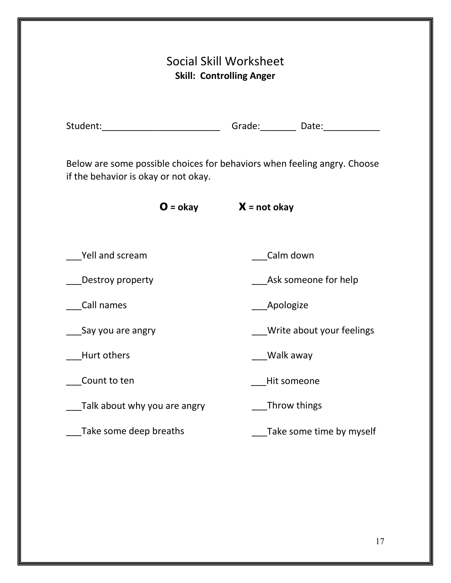<span id="page-16-0"></span>

| <b>Social Skill Worksheet</b><br><b>Skill: Controlling Anger</b> |                                                                                  |  |  |
|------------------------------------------------------------------|----------------------------------------------------------------------------------|--|--|
|                                                                  | Student:__________________________________Grade:____________Date:_______________ |  |  |
| if the behavior is okay or not okay.                             | Below are some possible choices for behaviors when feeling angry. Choose         |  |  |
|                                                                  | $O = okay$ $X = not okay$                                                        |  |  |
| Yell and scream                                                  | Calm down                                                                        |  |  |
| Destroy property                                                 | Ask someone for help                                                             |  |  |
| Call names                                                       | <b>Apologize</b>                                                                 |  |  |
| __Say you are angry                                              | <b>Write about your feelings</b>                                                 |  |  |
| Hurt others                                                      | Walk away                                                                        |  |  |
| Count to ten                                                     | Hit someone                                                                      |  |  |
| Talk about why you are angry                                     | Throw things                                                                     |  |  |
|                                                                  |                                                                                  |  |  |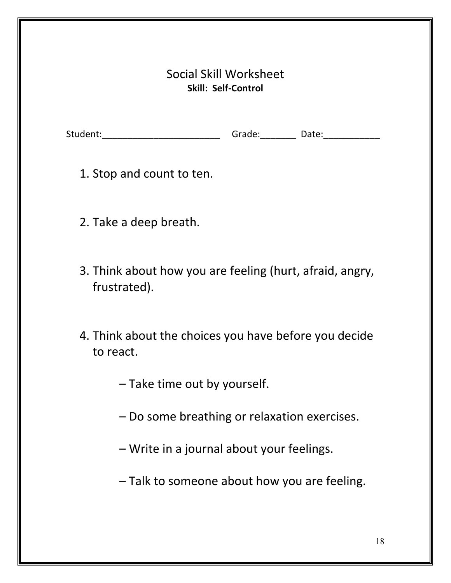#### Social Skill Worksheet **Skill: Self-Control**

<span id="page-17-0"></span>

| Student: | Grade: | Date: |
|----------|--------|-------|
|          |        |       |

1. Stop and count to ten.

- 2. Take a deep breath.
- 3. Think about how you are feeling (hurt, afraid, angry, frustrated).
- 4. Think about the choices you have before you decide to react.
	- Take time out by yourself.
	- Do some breathing or relaxation exercises.
	- Write in a journal about your feelings.
	- Talk to someone about how you are feeling.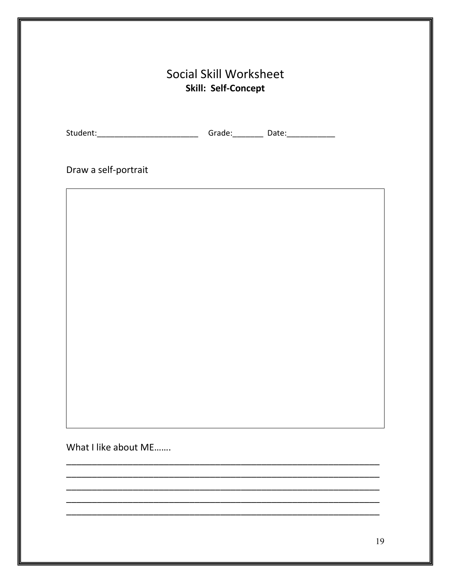<span id="page-18-0"></span>

| Draw a self-portrait |  |  |
|----------------------|--|--|
|                      |  |  |
|                      |  |  |
|                      |  |  |
|                      |  |  |
|                      |  |  |
|                      |  |  |
|                      |  |  |
|                      |  |  |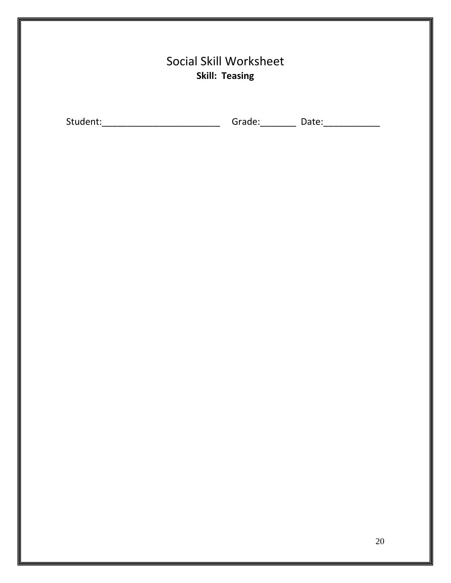<span id="page-19-0"></span>

|          | <b>Social Skill Worksheet</b><br><b>Skill: Teasing</b> |                            |  |
|----------|--------------------------------------------------------|----------------------------|--|
| Student: | Grade:                                                 | Date: <u>_____________</u> |  |
|          |                                                        |                            |  |
|          |                                                        |                            |  |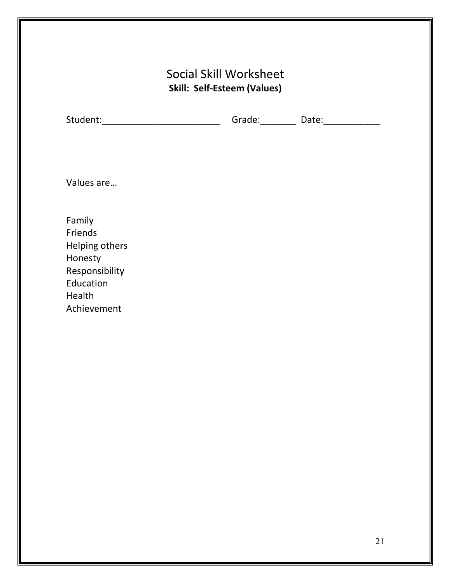### Social Skill Worksheet **Skill: Self-Esteem (Values)**

<span id="page-20-0"></span>

| Student: | Grade: | Date: |
|----------|--------|-------|
|          |        |       |

Values are…

Family Friends Helping others Honesty Responsibility Education Health Achievement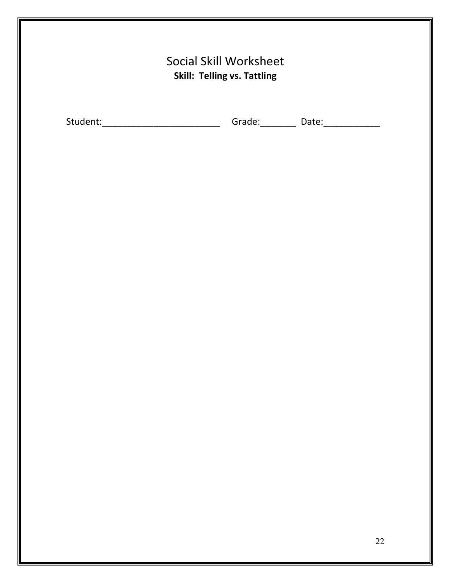<span id="page-21-0"></span>

|          | <b>Social Skill Worksheet</b><br><b>Skill: Telling vs. Tattling</b> |  |
|----------|---------------------------------------------------------------------|--|
| Student: | Grade:<br>Date:                                                     |  |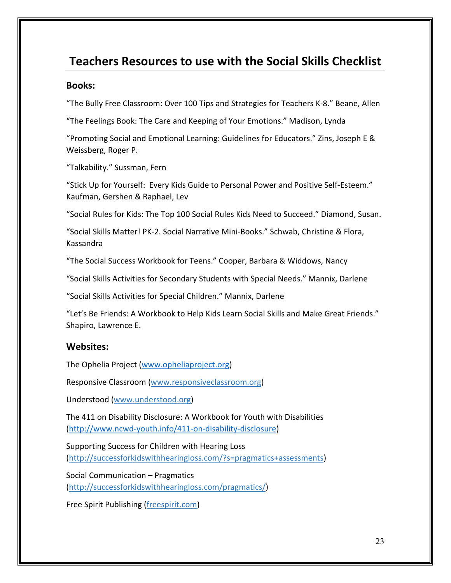## <span id="page-22-0"></span>**Teachers Resources to use with the Social Skills Checklist**

#### <span id="page-22-1"></span>**Books:**

"The Bully Free Classroom: Over 100 Tips and Strategies for Teachers K-8." Beane, Allen

"The Feelings Book: The Care and Keeping of Your Emotions." Madison, Lynda

"Promoting Social and Emotional Learning: Guidelines for Educators." Zins, Joseph E & Weissberg, Roger P.

"Talkability." Sussman, Fern

"Stick Up for Yourself: Every Kids Guide to Personal Power and Positive Self-Esteem." Kaufman, Gershen & Raphael, Lev

"Social Rules for Kids: The Top 100 Social Rules Kids Need to Succeed." Diamond, Susan.

"Social Skills Matter! PK-2. Social Narrative Mini-Books." Schwab, Christine & Flora, Kassandra

"The Social Success Workbook for Teens." Cooper, Barbara & Widdows, Nancy

"Social Skills Activities for Secondary Students with Special Needs." Mannix, Darlene

"Social Skills Activities for Special Children." Mannix, Darlene

"Let's Be Friends: A Workbook to Help Kids Learn Social Skills and Make Great Friends." Shapiro, Lawrence E.

#### <span id="page-22-2"></span>**Websites:**

The Ophelia Project [\(www.opheliaproject.org\)](http://www.opheliaproject.org/)

Responsive Classroom [\(www.responsiveclassroom.org\)](http://www.responsiveclassroom.org/)

Understood [\(www.understood.org\)](http://www.understood.org/)

The 411 on Disability Disclosure: A Workbook for Youth with Disabilities [\(http://www.ncwd-youth.info/411-on-disability-disclosure\)](http://successforkidswithhearingloss.com/?s=pragmatics+assessments)

Supporting Success for Children with Hearing Loss [\(http://successforkidswithhearingloss.com/?s=pragmatics+assessments\)](http://successforkidswithhearingloss.com/pragmatics/)

<span id="page-22-3"></span>Social Communication – Pragmatics (http://successforkidswithhearingloss.com/pragmatics/)

Free Spirit Publishing (freespirit.com)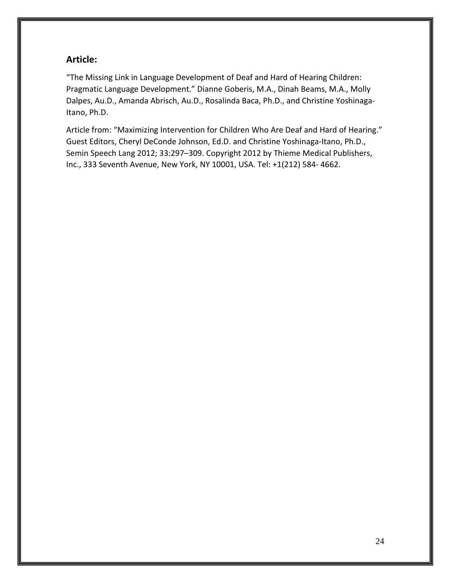#### **Article:**

"The Missing Link in Language Development of Deaf and Hard of Hearing Children: Pragmatic Language Development." Dianne Goberis, M.A., Dinah Beams, M.A., Molly Dalpes, Au.D., Amanda Abrisch, Au.D., Rosalinda Baca, Ph.D., and Christine Yoshinaga-Itano, Ph.D.

Article from: "Maximizing Intervention for Children Who Are Deaf and Hard of Hearing." Guest Editors, Cheryl DeConde Johnson, Ed.D. and Christine Yoshinaga-Itano, Ph.D., Semin Speech Lang 2012; 33:297–309. Copyright 2012 by Thieme Medical Publishers, Inc., 333 Seventh Avenue, New York, NY 10001, USA. Tel: +1(212) 584- 4662.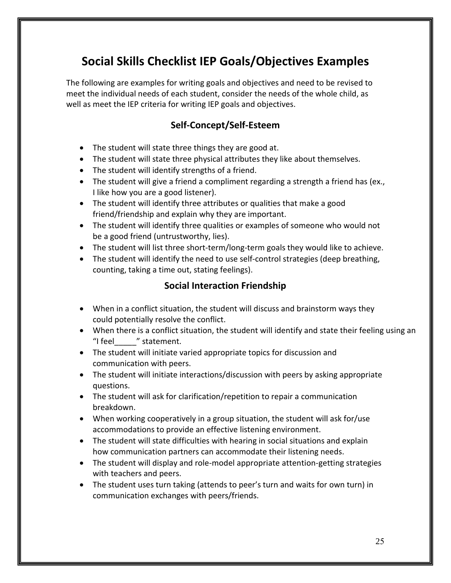## **Social Skills Checklist IEP Goals/Objectives Examples**

<span id="page-24-1"></span><span id="page-24-0"></span>The following are examples for writing goals and objectives and need to be revised to meet the individual needs of each student, consider the needs of the whole child, as well as meet the IEP criteria for writing IEP goals and objectives.

#### **Self-Concept/Self-Esteem**

- The student will state three things they are good at.
- The student will state three physical attributes they like about themselves.
- The student will identify strengths of a friend.
- The student will give a friend a compliment regarding a strength a friend has (ex., I like how you are a good listener).
- The student will identify three attributes or qualities that make a good friend/friendship and explain why they are important.
- The student will identify three qualities or examples of someone who would not be a good friend (untrustworthy, lies).
- The student will list three short-term/long-term goals they would like to achieve.
- <span id="page-24-2"></span>• The student will identify the need to use self-control strategies (deep breathing, counting, taking a time out, stating feelings).

#### **Social Interaction Friendship**

- When in a conflict situation, the student will discuss and brainstorm ways they could potentially resolve the conflict.
- When there is a conflict situation, the student will identify and state their feeling using an "I feel \_\_\_ " statement.
- The student will initiate varied appropriate topics for discussion and communication with peers.
- The student will initiate interactions/discussion with peers by asking appropriate questions.
- The student will ask for clarification/repetition to repair a communication breakdown.
- When working cooperatively in a group situation, the student will ask for/use accommodations to provide an effective listening environment.
- The student will state difficulties with hearing in social situations and explain how communication partners can accommodate their listening needs.
- The student will display and role-model appropriate attention-getting strategies with teachers and peers.
- The student uses turn taking (attends to peer's turn and waits for own turn) in communication exchanges with peers/friends.